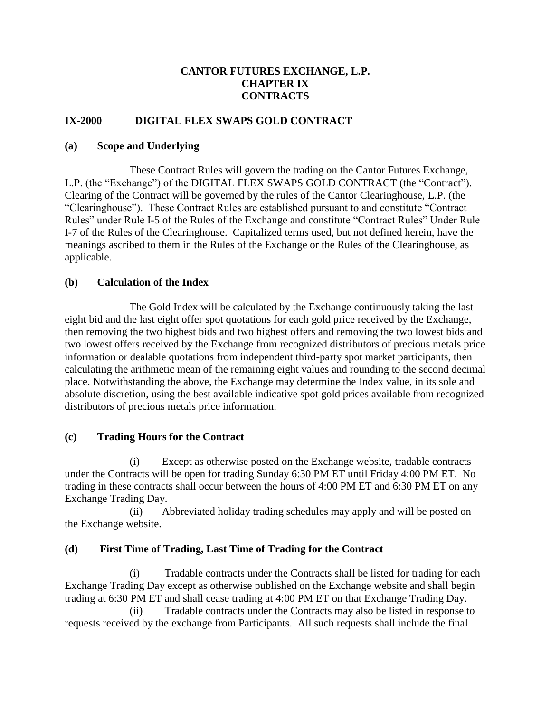### **CANTOR FUTURES EXCHANGE, L.P. CHAPTER IX CONTRACTS**

### **IX-2000 DIGITAL FLEX SWAPS GOLD CONTRACT**

#### **(a) Scope and Underlying**

These Contract Rules will govern the trading on the Cantor Futures Exchange, L.P. (the "Exchange") of the DIGITAL FLEX SWAPS GOLD CONTRACT (the "Contract"). Clearing of the Contract will be governed by the rules of the Cantor Clearinghouse, L.P. (the "Clearinghouse"). These Contract Rules are established pursuant to and constitute "Contract Rules" under Rule I-5 of the Rules of the Exchange and constitute "Contract Rules" Under Rule I-7 of the Rules of the Clearinghouse. Capitalized terms used, but not defined herein, have the meanings ascribed to them in the Rules of the Exchange or the Rules of the Clearinghouse, as applicable.

#### **(b) Calculation of the Index**

The Gold Index will be calculated by the Exchange continuously taking the last eight bid and the last eight offer spot quotations for each gold price received by the Exchange, then removing the two highest bids and two highest offers and removing the two lowest bids and two lowest offers received by the Exchange from recognized distributors of precious metals price information or dealable quotations from independent third-party spot market participants, then calculating the arithmetic mean of the remaining eight values and rounding to the second decimal place. Notwithstanding the above, the Exchange may determine the Index value, in its sole and absolute discretion, using the best available indicative spot gold prices available from recognized distributors of precious metals price information.

#### **(c) Trading Hours for the Contract**

(i) Except as otherwise posted on the Exchange website, tradable contracts under the Contracts will be open for trading Sunday 6:30 PM ET until Friday 4:00 PM ET. No trading in these contracts shall occur between the hours of 4:00 PM ET and 6:30 PM ET on any Exchange Trading Day.

(ii) Abbreviated holiday trading schedules may apply and will be posted on the Exchange website.

#### **(d) First Time of Trading, Last Time of Trading for the Contract**

(i) Tradable contracts under the Contracts shall be listed for trading for each Exchange Trading Day except as otherwise published on the Exchange website and shall begin trading at 6:30 PM ET and shall cease trading at 4:00 PM ET on that Exchange Trading Day.

(ii) Tradable contracts under the Contracts may also be listed in response to requests received by the exchange from Participants. All such requests shall include the final